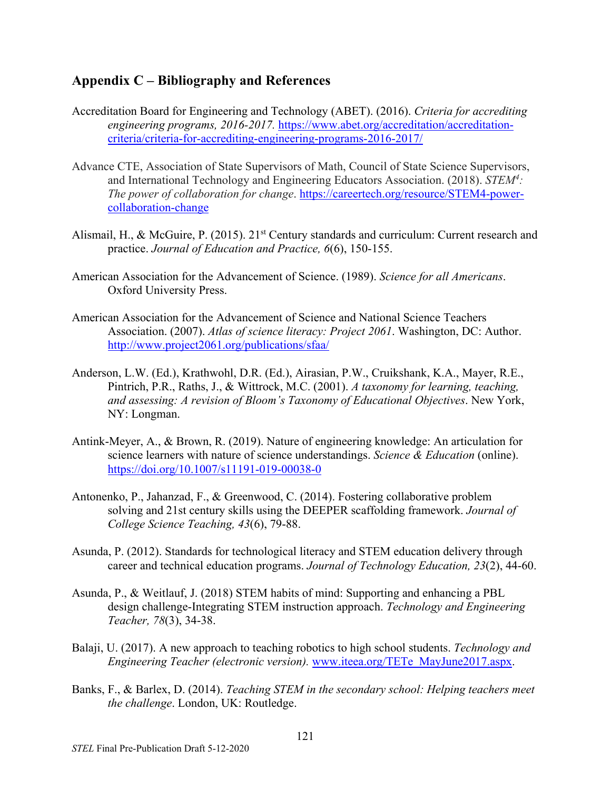## **Appendix C – Bibliography and References**

- Accreditation Board for Engineering and Technology (ABET). (2016). *Criteria for accrediting engineering programs, 2016-2017.* [https://www.abet.org/accreditation/accreditation](https://www.abet.org/accreditation/accreditation-criteria/criteria-for-accrediting-engineering-programs-2016-2017/)[criteria/criteria-for-accrediting-engineering-programs-2016-2017/](https://www.abet.org/accreditation/accreditation-criteria/criteria-for-accrediting-engineering-programs-2016-2017/)
- Advance CTE, Association of State Supervisors of Math, Council of State Science Supervisors, and International Technology and Engineering Educators Association. (2018). *STEM4 : The power of collaboration for change*. [https://careertech.org/resource/STEM4-power](https://careertech.org/resource/STEM4-power-collaboration-change)[collaboration-change](https://careertech.org/resource/STEM4-power-collaboration-change)
- Alismail, H., & McGuire, P. (2015). 21<sup>st</sup> Century standards and curriculum: Current research and practice. *Journal of Education and Practice, 6*(6), 150-155.
- American Association for the Advancement of Science. (1989). *Science for all Americans*. Oxford University Press.
- American Association for the Advancement of Science and National Science Teachers Association. (2007). *Atlas of science literacy: Project 2061*. Washington, DC: Author. <http://www.project2061.org/publications/sfaa/>
- Anderson, L.W. (Ed.), Krathwohl, D.R. (Ed.), Airasian, P.W., Cruikshank, K.A., Mayer, R.E., Pintrich, P.R., Raths, J., & Wittrock, M.C. (2001). *A taxonomy for learning, teaching, and assessing: A revision of Bloom's Taxonomy of Educational Objectives*. New York, NY: Longman.
- Antink-Meyer, A., & Brown, R. (2019). Nature of engineering knowledge: An articulation for science learners with nature of science understandings. *Science & Education* (online). <https://doi.org/10.1007/s11191-019-00038-0>
- Antonenko, P., Jahanzad, F., & Greenwood, C. (2014). Fostering collaborative problem solving and 21st century skills using the DEEPER scaffolding framework. *Journal of College Science Teaching, 43*(6), 79-88.
- Asunda, P. (2012). Standards for technological literacy and STEM education delivery through career and technical education programs. *Journal of Technology Education, 23*(2), 44-60.
- Asunda, P., & Weitlauf, J. (2018) STEM habits of mind: Supporting and enhancing a PBL design challenge-Integrating STEM instruction approach. *Technology and Engineering Teacher, 78*(3), 34-38.
- Balaji, U. (2017). A new approach to teaching robotics to high school students. *Technology and Engineering Teacher (electronic version).* [www.iteea.org/TETe\\_MayJune2017.aspx.](http://www.iteea.org/TETe_MayJune2017.aspx)
- Banks, F., & Barlex, D. (2014). *Teaching STEM in the secondary school: Helping teachers meet the challenge*. London, UK: Routledge.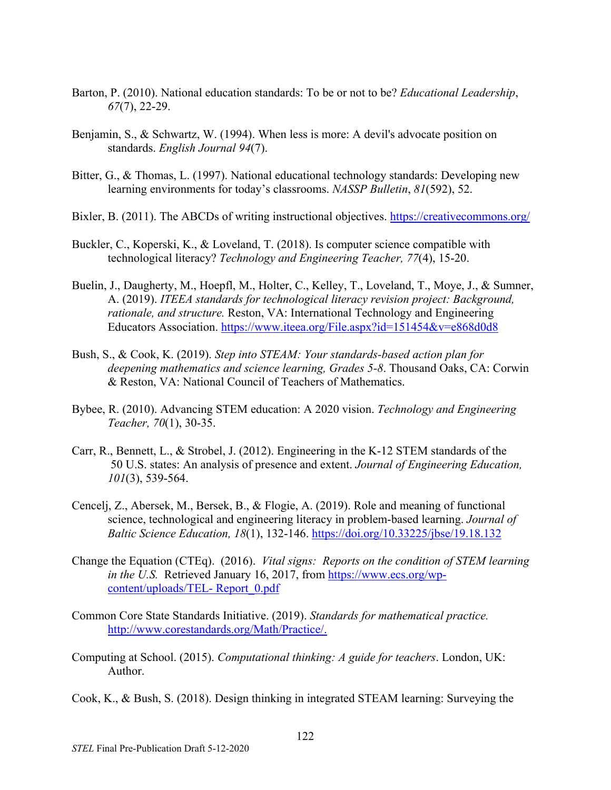- Barton, P. (2010). National education standards: To be or not to be? *Educational Leadership*, *67*(7), 22-29.
- Benjamin, S., & Schwartz, W. (1994). When less is more: A devil's advocate position on standards. *English Journal 94*(7).
- Bitter, G., & Thomas, L. (1997). National educational technology standards: Developing new learning environments for today's classrooms. *NASSP Bulletin*, *81*(592), 52.
- Bixler, B. (2011). The ABCDs of writing instructional objectives.<https://creativecommons.org/>
- Buckler, C., Koperski, K., & Loveland, T. (2018). Is computer science compatible with technological literacy? *Technology and Engineering Teacher, 77*(4), 15-20.
- Buelin, J., Daugherty, M., Hoepfl, M., Holter, C., Kelley, T., Loveland, T., Moye, J., & Sumner, A. (2019). *ITEEA standards for technological literacy revision project: Background, rationale, and structure.* Reston, VA: International Technology and Engineering Educators Association.<https://www.iteea.org/File.aspx?id=151454&v=e868d0d8>
- Bush, S., & Cook, K. (2019). *Step into STEAM: Your standards-based action plan for deepening mathematics and science learning, Grades 5-8*. Thousand Oaks, CA: Corwin & Reston, VA: National Council of Teachers of Mathematics.
- Bybee, R. (2010). Advancing STEM education: A 2020 vision. *Technology and Engineering Teacher, 70*(1), 30-35.
- Carr, R., Bennett, L., & Strobel, J. (2012). Engineering in the K-12 STEM standards of the 50 U.S. states: An analysis of presence and extent. *Journal of Engineering Education, 101*(3), 539-564.
- Cencelj, Z., Abersek, M., Bersek, B., & Flogie, A. (2019). Role and meaning of functional science, technological and engineering literacy in problem-based learning. *Journal of Baltic Science Education, 18*(1), 132-146.<https://doi.org/10.33225/jbse/19.18.132>
- Change the Equation (CTEq). (2016). *Vital signs: Reports on the condition of STEM learning in the U.S.* Retrieved January 16, 2017, from [https://www.ecs.org/wp](https://www.ecs.org/wp-content/uploads/TEL-%20Report_0.pdf)[content/uploads/TEL-](https://www.ecs.org/wp-content/uploads/TEL-%20Report_0.pdf) Report\_0.pdf
- Common Core State Standards Initiative. (2019). *Standards for mathematical practice.* [http://www.corestandards.org/Math/Practice/.](http://www.corestandards.org/Math/Practice/)
- Computing at School. (2015). *Computational thinking: A guide for teachers*. London, UK: Author.
- Cook, K., & Bush, S. (2018). Design thinking in integrated STEAM learning: Surveying the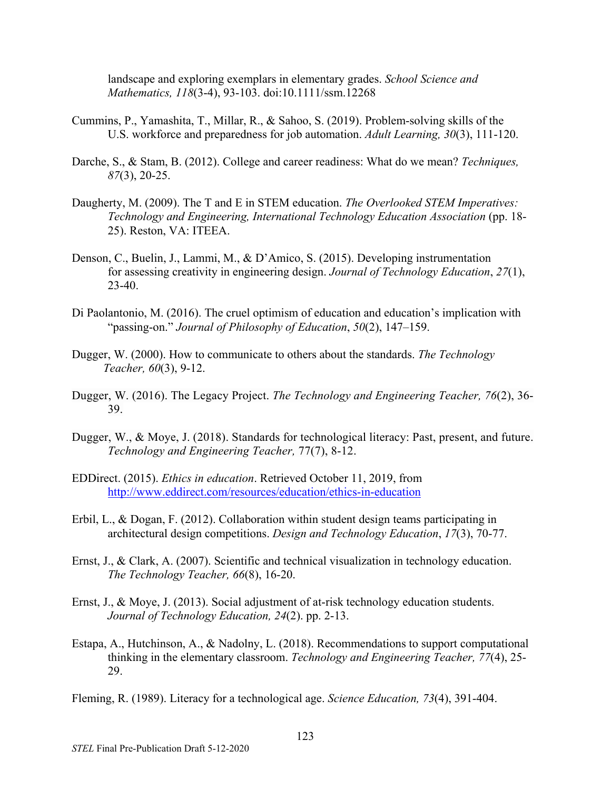landscape and exploring exemplars in elementary grades. *School Science and Mathematics, 118*(3-4), 93-103. doi:10.1111/ssm.12268

- Cummins, P., Yamashita, T., Millar, R., & Sahoo, S. (2019). Problem-solving skills of the U.S. workforce and preparedness for job automation. *Adult Learning, 30*(3), 111-120.
- Darche, S., & Stam, B. (2012). College and career readiness: What do we mean? *Techniques, 87*(3), 20-25.
- Daugherty, M. (2009). The T and E in STEM education. *The Overlooked STEM Imperatives: Technology and Engineering, International Technology Education Association* (pp. 18- 25). Reston, VA: ITEEA.
- Denson, C., Buelin, J., Lammi, M., & D'Amico, S. (2015). Developing instrumentation for assessing creativity in engineering design. *Journal of Technology Education*, *27*(1), 23-40.
- Di Paolantonio, M. (2016). The cruel optimism of education and education's implication with "passing-on." *Journal of Philosophy of Education*, *50*(2), 147–159.
- Dugger, W. (2000). How to communicate to others about the standards. *The Technology Teacher, 60*(3), 9-12.
- Dugger, W. (2016). The Legacy Project. *The Technology and Engineering Teacher, 76*(2), 36- 39.
- Dugger, W., & Moye, J. (2018). Standards for technological literacy: Past, present, and future. *Technology and Engineering Teacher,* 77(7), 8-12.
- EDDirect. (2015). *Ethics in education*. Retrieved October 11, 2019, from <http://www.eddirect.com/resources/education/ethics-in-education>
- Erbil, L., & Dogan, F. (2012). Collaboration within student design teams participating in architectural design competitions. *Design and Technology Education*, *17*(3), 70-77.
- Ernst, J., & Clark, A. (2007). Scientific and technical visualization in technology education. *The Technology Teacher, 66*(8), 16-20.
- Ernst, J., & Moye, J. (2013). Social adjustment of at-risk technology education students. *Journal of Technology Education, 24*(2). pp. 2-13.
- Estapa, A., Hutchinson, A., & Nadolny, L. (2018). Recommendations to support computational thinking in the elementary classroom. *Technology and Engineering Teacher, 77*(4), 25- 29.

Fleming, R. (1989). Literacy for a technological age. *Science Education, 73*(4), 391-404.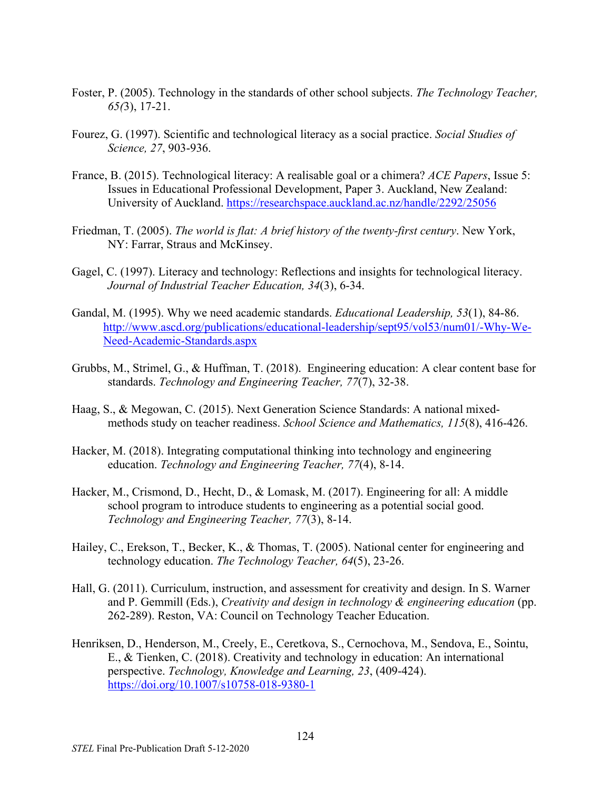- Foster, P. (2005). Technology in the standards of other school subjects. *The Technology Teacher, 65(*3), 17-21.
- Fourez, G. (1997). Scientific and technological literacy as a social practice. *Social Studies of Science, 27*, 903-936.
- France, B. (2015). Technological literacy: A realisable goal or a chimera? *ACE Papers*, Issue 5: Issues in Educational Professional Development, Paper 3. Auckland, New Zealand: University of Auckland. <https://researchspace.auckland.ac.nz/handle/2292/25056>
- Friedman, T. (2005). *The world is flat: A brief history of the twenty-first century*. New York, NY: Farrar, Straus and McKinsey.
- Gagel, C. (1997). Literacy and technology: Reflections and insights for technological literacy. *Journal of Industrial Teacher Education, 34*(3), 6-34.
- Gandal, M. (1995). Why we need academic standards. *Educational Leadership, 53*(1), 84-86. [http://www.ascd.org/publications/educational-leadership/sept95/vol53/num01/-Why-We-](http://www.ascd.org/publications/educational-leadership/sept95/vol53/num01/-Why-We-Need-Academic-Standards.aspx)[Need-Academic-Standards.aspx](http://www.ascd.org/publications/educational-leadership/sept95/vol53/num01/-Why-We-Need-Academic-Standards.aspx)
- Grubbs, M., Strimel, G., & Huffman, T. (2018). Engineering education: A clear content base for standards. *Technology and Engineering Teacher, 77*(7), 32-38.
- Haag, S., & Megowan, C. (2015). Next Generation Science Standards: A national mixedmethods study on teacher readiness. *School Science and Mathematics, 115*(8), 416-426.
- Hacker, M. (2018). Integrating computational thinking into technology and engineering education. *Technology and Engineering Teacher, 77*(4), 8-14.
- Hacker, M., Crismond, D., Hecht, D., & Lomask, M. (2017). Engineering for all: A middle school program to introduce students to engineering as a potential social good. *Technology and Engineering Teacher, 77*(3), 8-14.
- Hailey, C., Erekson, T., Becker, K., & Thomas, T. (2005). National center for engineering and technology education. *The Technology Teacher, 64*(5), 23-26.
- Hall, G. (2011). Curriculum, instruction, and assessment for creativity and design. In S. Warner and P. Gemmill (Eds.), *Creativity and design in technology & engineering education* (pp. 262-289). Reston, VA: Council on Technology Teacher Education.
- Henriksen, D., Henderson, M., Creely, E., Ceretkova, S., Cernochova, M., Sendova, E., Sointu, E., & Tienken, C. (2018). Creativity and technology in education: An international perspective. *Technology, Knowledge and Learning, 23*, (409-424). <https://doi.org/10.1007/s10758-018-9380-1>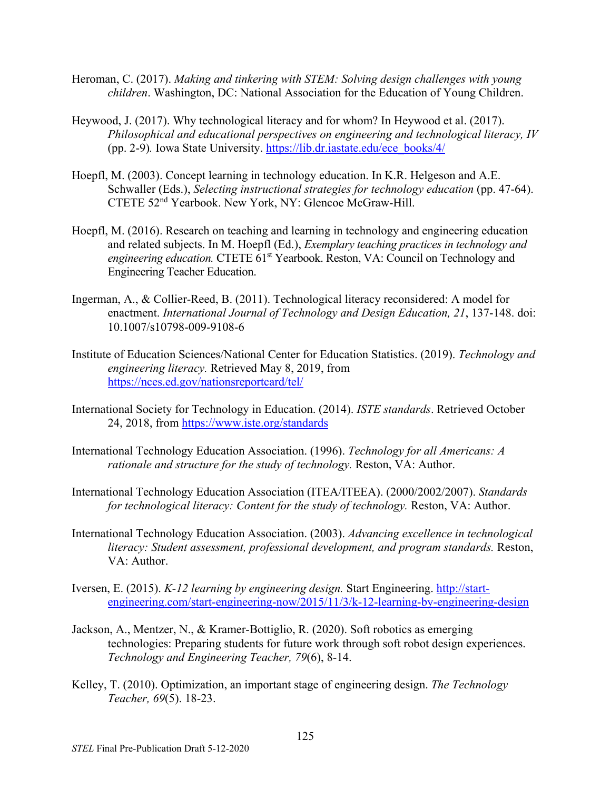- Heroman, C. (2017). *Making and tinkering with STEM: Solving design challenges with young children*. Washington, DC: National Association for the Education of Young Children.
- Heywood, J. (2017). Why technological literacy and for whom? In Heywood et al. (2017). *Philosophical and educational perspectives on engineering and technological literacy, IV*  (pp. 2-9)*.* Iowa State University. [https://lib.dr.iastate.edu/ece\\_books/4/](https://lib.dr.iastate.edu/ece_books/4/)
- Hoepfl, M. (2003). Concept learning in technology education. In K.R. Helgeson and A.E. Schwaller (Eds.), *Selecting instructional strategies for technology education* (pp. 47-64). CTETE 52nd Yearbook. New York, NY: Glencoe McGraw-Hill.
- Hoepfl, M. (2016). Research on teaching and learning in technology and engineering education and related subjects. In M. Hoepfl (Ed.), *Exemplary teaching practices in technology and*  engineering education. CTETE 61<sup>st</sup> Yearbook. Reston, VA: Council on Technology and Engineering Teacher Education.
- Ingerman, A., & Collier-Reed, B. (2011). Technological literacy reconsidered: A model for enactment. *International Journal of Technology and Design Education, 21*, 137-148. doi: 10.1007/s10798-009-9108-6
- Institute of Education Sciences/National Center for Education Statistics. (2019). *Technology and engineering literacy.* Retrieved May 8, 2019, from <https://nces.ed.gov/nationsreportcard/tel/>
- International Society for Technology in Education. (2014). *ISTE standards*. Retrieved October 24, 2018, from<https://www.iste.org/standards>
- International Technology Education Association. (1996). *Technology for all Americans: A rationale and structure for the study of technology.* Reston, VA: Author.
- International Technology Education Association (ITEA/ITEEA). (2000/2002/2007). *Standards for technological literacy: Content for the study of technology. Reston, VA: Author.*
- International Technology Education Association. (2003). *Advancing excellence in technological literacy: Student assessment, professional development, and program standards. Reston,* VA: Author.
- Iversen, E. (2015). *K-12 learning by engineering design.* Start Engineering. [http://start](http://start-engineering.com/start-engineering-now/2015/11/3/k-12-learning-by-engineering-design)[engineering.com/start-engineering-now/2015/11/3/k-12-learning-by-engineering-design](http://start-engineering.com/start-engineering-now/2015/11/3/k-12-learning-by-engineering-design)
- Jackson, A., Mentzer, N., & Kramer-Bottiglio, R. (2020). Soft robotics as emerging technologies: Preparing students for future work through soft robot design experiences. *Technology and Engineering Teacher, 79*(6), 8-14.
- Kelley, T. (2010). Optimization, an important stage of engineering design. *The Technology Teacher, 69*(5). 18-23.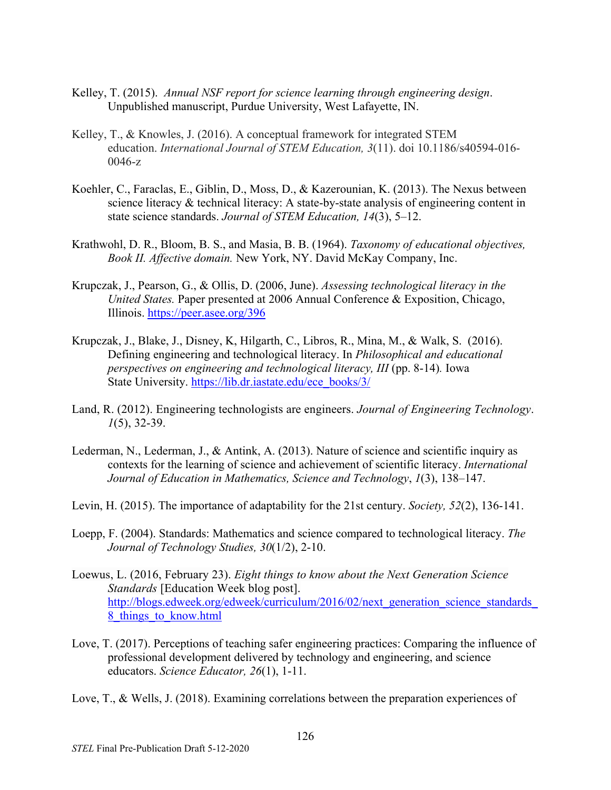- Kelley, T. (2015). *Annual NSF report for science learning through engineering design*. Unpublished manuscript, Purdue University, West Lafayette, IN.
- Kelley, T., & Knowles, J. (2016). A conceptual framework for integrated STEM education. *International Journal of STEM Education, 3*(11). doi 10.1186/s40594-016- 0046-z
- Koehler, C., Faraclas, E., Giblin, D., Moss, D., & Kazerounian, K. (2013). The Nexus between science literacy & technical literacy: A state-by-state analysis of engineering content in state science standards. *Journal of STEM Education, 14*(3), 5–12.
- Krathwohl, D. R., Bloom, B. S., and Masia, B. B. (1964). *Taxonomy of educational objectives, Book II. Affective domain.* New York, NY. David McKay Company, Inc.
- Krupczak, J., Pearson, G., & Ollis, D. (2006, June). *Assessing technological literacy in the United States.* Paper presented at 2006 Annual Conference & Exposition, Chicago, Illinois.<https://peer.asee.org/396>
- Krupczak, J., Blake, J., Disney, K, Hilgarth, C., Libros, R., Mina, M., & Walk, S. (2016). Defining engineering and technological literacy. In *Philosophical and educational perspectives on engineering and technological literacy, III* (pp. 8-14)*.* Iowa State University. [https://lib.dr.iastate.edu/ece\\_books/3/](https://lib.dr.iastate.edu/ece_books/3/)
- Land, R. (2012). Engineering technologists are engineers. *Journal of Engineering Technology*. *1*(5), 32-39.
- Lederman, N., Lederman, J., & Antink, A. (2013). Nature of science and scientific inquiry as contexts for the learning of science and achievement of scientific literacy. *International Journal of Education in Mathematics, Science and Technology*, *1*(3), 138–147.
- Levin, H. (2015). The importance of adaptability for the 21st century. *Society, 52*(2), 136-141.
- Loepp, F. (2004). Standards: Mathematics and science compared to technological literacy. *The Journal of Technology Studies, 30*(1/2), 2-10.
- Loewus, L. (2016, February 23). *Eight things to know about the Next Generation Science Standards* [Education Week blog post]. http://blogs.edweek.org/edweek/curriculum/2016/02/next\_generation\_science\_standards [8\\_things\\_to\\_know.html](http://blogs.edweek.org/edweek/curriculum/2016/02/next_generation_science_standards_8_things_to_know.html)
- Love, T. (2017). Perceptions of teaching safer engineering practices: Comparing the influence of professional development delivered by technology and engineering, and science educators. *Science Educator, 26*(1), 1-11.
- Love, T., & Wells, J. (2018). Examining correlations between the preparation experiences of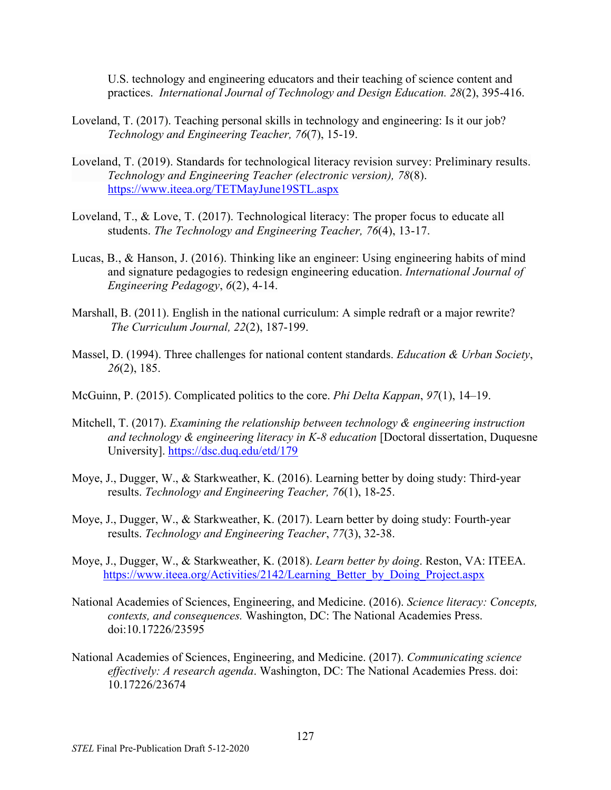U.S. technology and engineering educators and their teaching of science content and practices. *International Journal of Technology and Design Education. 28*(2), 395-416.

- Loveland, T. (2017). Teaching personal skills in technology and engineering: Is it our job? *Technology and Engineering Teacher, 76*(7), 15-19.
- Loveland, T. (2019). Standards for technological literacy revision survey: Preliminary results. *Technology and Engineering Teacher (electronic version), 78*(8). <https://www.iteea.org/TETMayJune19STL.aspx>
- Loveland, T., & Love, T. (2017). Technological literacy: The proper focus to educate all students. *The Technology and Engineering Teacher, 76*(4), 13-17.
- Lucas, B., & Hanson, J. (2016). Thinking like an engineer: Using engineering habits of mind and signature pedagogies to redesign engineering education. *International Journal of Engineering Pedagogy*, *6*(2), 4-14.
- Marshall, B. (2011). English in the national curriculum: A simple redraft or a major rewrite? *The Curriculum Journal, 22*(2), 187-199.
- Massel, D. (1994). Three challenges for national content standards. *Education & Urban Society*, *26*(2), 185.
- McGuinn, P. (2015). Complicated politics to the core. *Phi Delta Kappan*, *97*(1), 14–19.
- Mitchell, T. (2017). *Examining the relationship between technology & engineering instruction and technology & engineering literacy in K-8 education* [Doctoral dissertation, Duquesne University].<https://dsc.duq.edu/etd/179>
- Moye, J., Dugger, W., & Starkweather, K. (2016). Learning better by doing study: Third-year results. *Technology and Engineering Teacher, 76*(1), 18-25.
- Moye, J., Dugger, W., & Starkweather, K. (2017). Learn better by doing study: Fourth-year results. *Technology and Engineering Teacher*, *77*(3), 32-38.
- Moye, J., Dugger, W., & Starkweather, K. (2018). *Learn better by doing*. Reston, VA: ITEEA. https://www.iteea.org/Activities/2142/Learning Better by Doing Project.aspx
- National Academies of Sciences, Engineering, and Medicine. (2016). *Science literacy: Concepts, contexts, and consequences.* Washington, DC: The National Academies Press. doi:10.17226/23595
- National Academies of Sciences, Engineering, and Medicine. (2017). *Communicating science effectively: A research agenda*. Washington, DC: The National Academies Press. doi: 10.17226/23674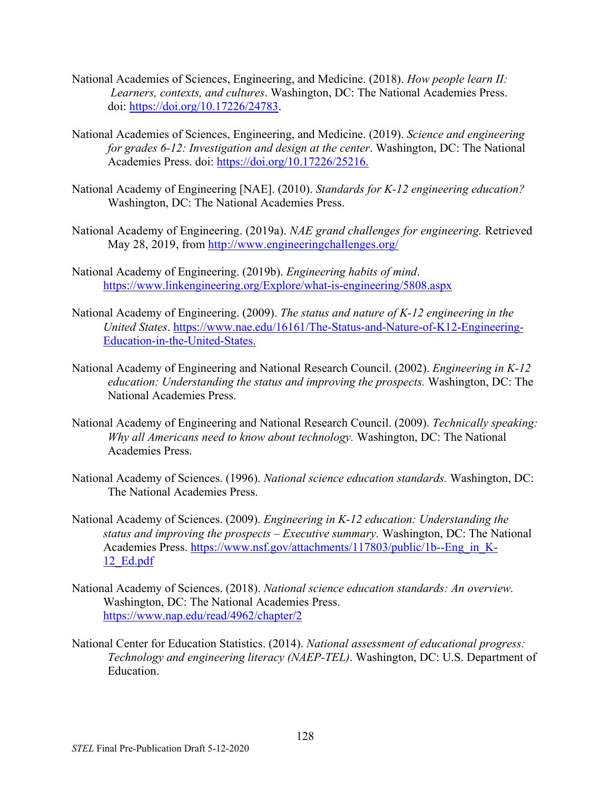- National Academies of Sciences, Engineering, and Medicine. (2018). *How people learn II: Learners, contexts, and cultures*. Washington, DC: The National Academies Press. doi: [https://doi.org/10.17226/24783.](https://doi.org/10.17226/24783)
- National Academies of Sciences, Engineering, and Medicine. (2019). *Science and engineering for grades 6-12: Investigation and design at the center*. Washington, DC: The National Academies Press. doi: [https://doi.org/10.17226/25216.](https://doi.org/10.17226/25216)
- National Academy of Engineering [NAE]. (2010). *Standards for K-12 engineering education?*  Washington, DC: The National Academies Press.
- National Academy of Engineering. (2019a). *NAE grand challenges for engineering.* Retrieved May 28, 2019, from<http://www.engineeringchallenges.org/>
- National Academy of Engineering. (2019b). *Engineering habits of mind*. <https://www.linkengineering.org/Explore/what-is-engineering/5808.aspx>
- National Academy of Engineering. (2009). *The status and nature of K-12 engineering in the United States*. [https://www.nae.edu/16161/The-Status-and-Nature-o](https://www.nae.edu/16161/The-Status-and-Nature-)f-K12-Engineering-Education-in-the-United-States.
- National Academy of Engineering and National Research Council. (2002). *Engineering in K-12 education: Understanding the status and improving the prospects.* Washington, DC: The National Academies Press.
- National Academy of Engineering and National Research Council. (2009). *Technically speaking: Why all Americans need to know about technology.* Washington, DC: The National Academies Press.
- National Academy of Sciences. (1996). *National science education standards.* Washington, DC: The National Academies Press.
- National Academy of Sciences. (2009). *Engineering in K-12 education: Understanding the status and improving the prospects – Executive summary.* Washington, DC: The National Academies Press. [https://www.nsf.gov/attachments/117803/public/1b--Eng\\_in\\_K-](https://www.nsf.gov/attachments/117803/public/1b--Eng_in_K-12_Ed.pdf)[12\\_Ed.pdf](https://www.nsf.gov/attachments/117803/public/1b--Eng_in_K-12_Ed.pdf)
- National Academy of Sciences. (2018). *National science education standards: An overview.*  Washington, DC: The National Academies Press. <https://www.nap.edu/read/4962/chapter/2>
- National Center for Education Statistics. (2014). *National assessment of educational progress: Technology and engineering literacy (NAEP-TEL)*. Washington, DC: U.S. Department of Education.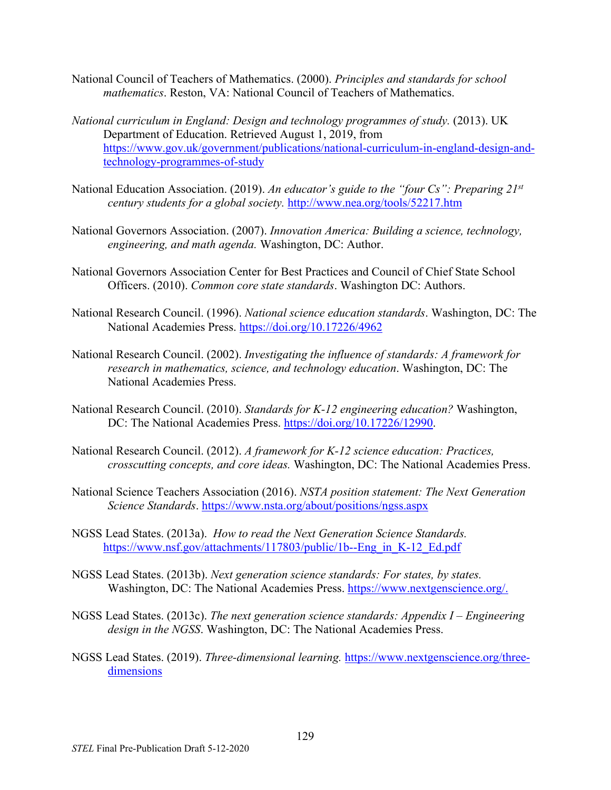- National Council of Teachers of Mathematics. (2000). *Principles and standards for school mathematics*. Reston, VA: National Council of Teachers of Mathematics.
- *National curriculum in England: Design and technology programmes of study.* (2013). UK Department of Education. Retrieved August 1, 2019, from [https://www.gov.uk/government/publications/national-curriculum-in-england-design-and](https://www.gov.uk/government/publications/national-curriculum-in-england-design-and-technology-programmes-of-study)[technology-programmes-of-study](https://www.gov.uk/government/publications/national-curriculum-in-england-design-and-technology-programmes-of-study)
- National Education Association. (2019). *An educator's guide to the "four Cs": Preparing 21st century students for a global society.* <http://www.nea.org/tools/52217.htm>
- National Governors Association. (2007). *Innovation America: Building a science, technology, engineering, and math agenda.* Washington, DC: Author.
- National Governors Association Center for Best Practices and Council of Chief State School Officers. (2010). *Common core state standards*. Washington DC: Authors.
- National Research Council. (1996). *National science education standards*. Washington, DC: The National Academies Press.<https://doi.org/10.17226/4962>
- National Research Council. (2002). *Investigating the influence of standards: A framework for research in mathematics, science, and technology education*. Washington, DC: The National Academies Press.
- National Research Council. (2010). *Standards for K-12 engineering education?* Washington, DC: The National Academies Press. [https://doi.org/10.17226/12990.](https://doi.org/10.17226/12990)
- National Research Council. (2012). *A framework for K-12 science education: Practices, crosscutting concepts, and core ideas.* Washington, DC: The National Academies Press.
- National Science Teachers Association (2016). *NSTA position statement: The Next Generation Science Standards*.<https://www.nsta.org/about/positions/ngss.aspx>
- NGSS Lead States. (2013a). *How to read the Next Generation Science Standards.* [https://www.nsf.gov/attachments/117803/public/1b--Eng\\_in\\_K-12\\_Ed.pdf](https://www.nsf.gov/attachments/117803/public/1b--Eng_in_K-12_Ed.pdf)
- NGSS Lead States. (2013b). *Next generation science standards: For states, by states.*  Washington, DC: The National Academies Press. [https://www.nextgenscience.org/.](https://www.nextgenscience.org/)
- NGSS Lead States. (2013c). *The next generation science standards: Appendix I – Engineering design in the NGSS*. Washington, DC: The National Academies Press.
- NGSS Lead States. (2019). *Three-dimensional learning.* [https://www.nextgenscience.org/three](https://www.nextgenscience.org/three-dimensions)[dimensions](https://www.nextgenscience.org/three-dimensions)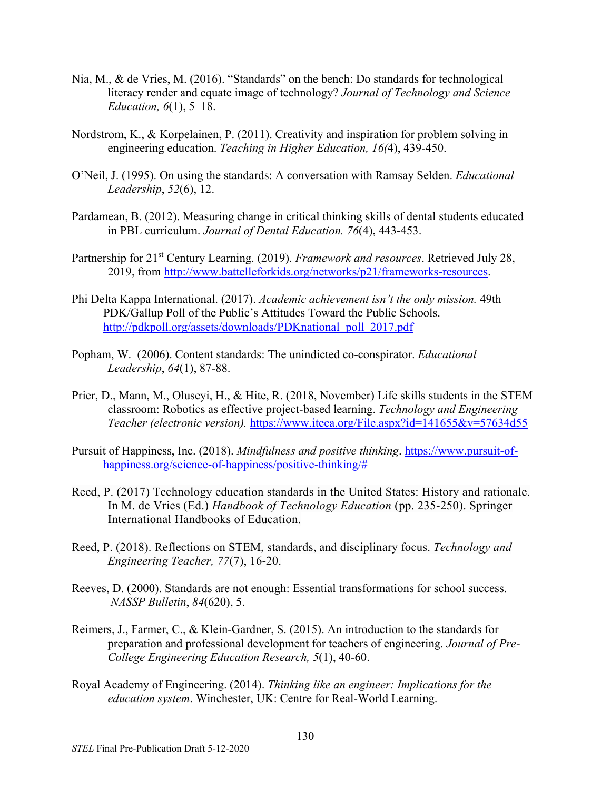- Nia, M., & de Vries, M. (2016). "Standards" on the bench: Do standards for technological literacy render and equate image of technology? *Journal of Technology and Science Education, 6*(1), 5–18.
- Nordstrom, K., & Korpelainen, P. (2011). Creativity and inspiration for problem solving in engineering education. *Teaching in Higher Education, 16(*4), 439-450.
- O'Neil, J. (1995). On using the standards: A conversation with Ramsay Selden. *Educational Leadership*, *52*(6), 12.
- Pardamean, B. (2012). Measuring change in critical thinking skills of dental students educated in PBL curriculum. *Journal of Dental Education. 76*(4), 443-453.
- Partnership for 21st Century Learning. (2019). *Framework and resources*. Retrieved July 28, 2019, from [http://www.battelleforkids.org/networks/p21/frameworks-resources.](http://www.battelleforkids.org/networks/p21/frameworks-resources)
- Phi Delta Kappa International. (2017). *Academic achievement isn't the only mission.* 49th PDK/Gallup Poll of the Public's Attitudes Toward the Public Schools. http://pdkpoll.org/assets/downloads/PDKnational\_poll\_2017.pdf
- Popham, W. (2006). Content standards: The unindicted co-conspirator. *Educational Leadership*, *64*(1), 87-88.
- Prier, D., Mann, M., Oluseyi, H., & Hite, R. (2018, November) Life skills students in the STEM classroom: Robotics as effective project-based learning. *Technology and Engineering Teacher (electronic version).* <https://www.iteea.org/File.aspx?id=141655&v=57634d55>
- Pursuit of Happiness, Inc. (2018). *Mindfulness and positive thinking*. [https://www.pursuit-of](https://www.pursuit-of-happiness.org/science-of-happiness/positive-thinking/)[happiness.org/science-of-happiness/positive-thinking/#](https://www.pursuit-of-happiness.org/science-of-happiness/positive-thinking/)
- Reed, P. (2017) Technology education standards in the United States: History and rationale. In M. de Vries (Ed.) *Handbook of Technology Education* (pp. 235-250). Springer International Handbooks of Education.
- Reed, P. (2018). Reflections on STEM, standards, and disciplinary focus. *Technology and Engineering Teacher, 77*(7), 16-20.
- Reeves, D. (2000). Standards are not enough: Essential transformations for school success. *NASSP Bulletin*, *84*(620), 5.
- Reimers, J., Farmer, C., & Klein-Gardner, S. (2015). An introduction to the standards for preparation and professional development for teachers of engineering. *Journal of Pre-College Engineering Education Research, 5*(1), 40-60.
- Royal Academy of Engineering. (2014). *Thinking like an engineer: Implications for the education system*. Winchester, UK: Centre for Real-World Learning.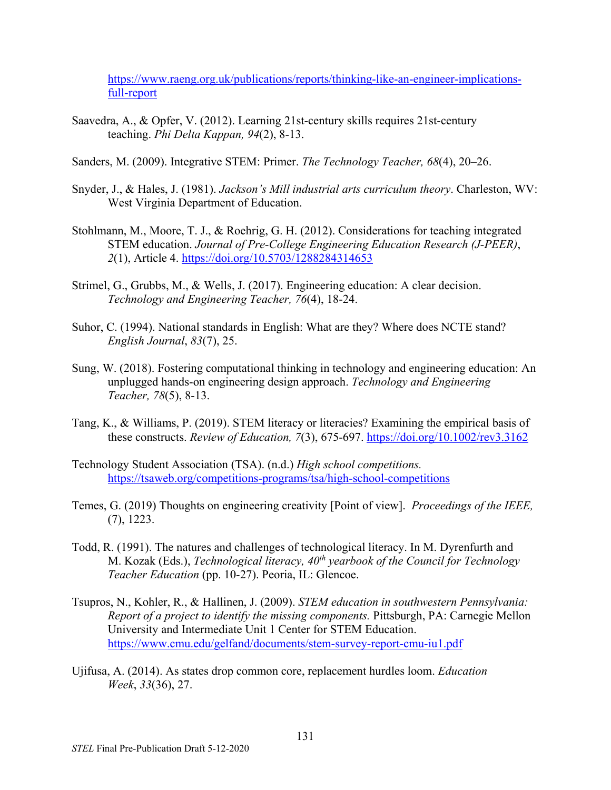[https://www.raeng.org.uk/publications/reports/thinking-like-an-engineer-implications](https://www.raeng.org.uk/publications/reports/thinking-like-an-engineer-implications-full-report)[full-report](https://www.raeng.org.uk/publications/reports/thinking-like-an-engineer-implications-full-report)

- Saavedra, A., & Opfer, V. (2012). Learning 21st-century skills requires 21st-century teaching. *Phi Delta Kappan, 94*(2), 8-13.
- Sanders, M. (2009). Integrative STEM: Primer. *The Technology Teacher, 68*(4), 20–26.
- Snyder, J., & Hales, J. (1981). *Jackson's Mill industrial arts curriculum theory*. Charleston, WV: West Virginia Department of Education.
- Stohlmann, M., Moore, T. J., & Roehrig, G. H. (2012). Considerations for teaching integrated STEM education. *Journal of Pre-College Engineering Education Research (J-PEER)*, *2*(1), Article 4.<https://doi.org/10.5703/1288284314653>
- Strimel, G., Grubbs, M., & Wells, J. (2017). Engineering education: A clear decision. *Technology and Engineering Teacher, 76*(4), 18-24.
- Suhor, C. (1994). National standards in English: What are they? Where does NCTE stand? *English Journal*, *83*(7), 25.
- Sung, W. (2018). Fostering computational thinking in technology and engineering education: An unplugged hands-on engineering design approach. *Technology and Engineering Teacher, 78*(5), 8-13.
- Tang, K., & Williams, P. (2019). STEM literacy or literacies? Examining the empirical basis of these constructs. *Review of Education, 7*(3), 675-697.<https://doi.org/10.1002/rev3.3162>
- Technology Student Association (TSA). (n.d.) *High school competitions.* <https://tsaweb.org/competitions-programs/tsa/high-school-competitions>
- Temes, G. (2019) Thoughts on engineering creativity [Point of view]. *Proceedings of the IEEE,* (7), 1223.
- Todd, R. (1991). The natures and challenges of technological literacy. In M. Dyrenfurth and M. Kozak (Eds.), *Technological literacy, 40th yearbook of the Council for Technology Teacher Education* (pp. 10-27). Peoria, IL: Glencoe.
- Tsupros, N., Kohler, R., & Hallinen, J. (2009). *STEM education in southwestern Pennsylvania: Report of a project to identify the missing components. Pittsburgh, PA: Carnegie Mellon* University and Intermediate Unit 1 Center for STEM Education. <https://www.cmu.edu/gelfand/documents/stem-survey-report-cmu-iu1.pdf>
- Ujifusa, A. (2014). As states drop common core, replacement hurdles loom. *Education Week*, *33*(36), 27.